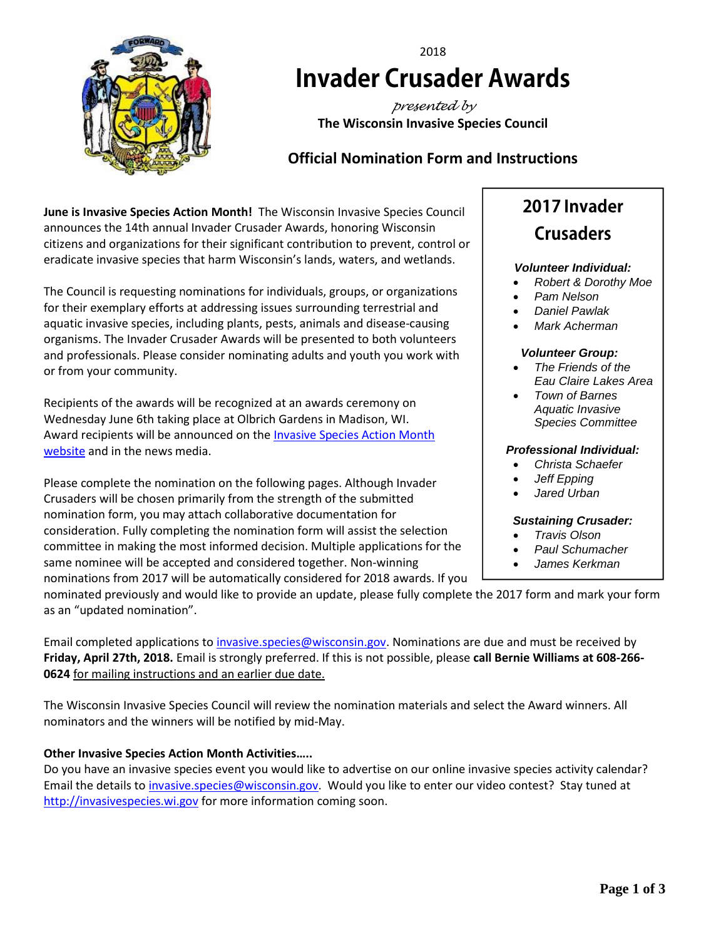

# 2018 **Invader Crusader Awards**

*presented by* **The Wisconsin Invasive Species Council**

# **Official Nomination Form and Instructions**

**June is Invasive Species Action Month!** The Wisconsin Invasive Species Council announces the 14th annual Invader Crusader Awards, honoring Wisconsin citizens and organizations for their significant contribution to prevent, control or eradicate invasive species that harm Wisconsin's lands, waters, and wetlands.

The Council is requesting nominations for individuals, groups, or organizations for their exemplary efforts at addressing issues surrounding terrestrial and aquatic invasive species, including plants, pests, animals and disease-causing organisms. The Invader Crusader Awards will be presented to both volunteers and professionals. Please consider nominating adults and youth you work with or from your community.

Recipients of the awards will be recognized at an awards ceremony on Wednesday June 6th taking place at Olbrich Gardens in Madison, WI. Award recipients will be announced on the *Invasive Species Action Month* [website](http://invasivespecies.wi.gov/awareness-month/awards/) and in the news media.

Please complete the nomination on the following pages. Although Invader Crusaders will be chosen primarily from the strength of the submitted nomination form, you may attach collaborative documentation for consideration. Fully completing the nomination form will assist the selection committee in making the most informed decision. Multiple applications for the same nominee will be accepted and considered together. Non-winning nominations from 2017 will be automatically considered for 2018 awards. If you

# 2017 Invader **Crusaders**

# *Volunteer Individual:*

- *Robert & Dorothy Moe*
- *Pam Nelson*
- *Daniel Pawlak*
- *Mark Acherman*

#### *Volunteer Group:*

- *The Friends of the Eau Claire Lakes Area*
- *Town of Barnes Aquatic Invasive Species Committee*

#### *Professional Individual:*

- *Christa Schaefer*
- *Jeff Epping*
- *Jared Urban*

# *Sustaining Crusader:*

- *Travis Olson*
- *Paul Schumacher*
- *James Kerkman*

nominated previously and would like to provide an update, please fully complete the 2017 form and mark your form as an "updated nomination".

Email completed applications t[o invasive.species@wisconsin.gov.](mailto:invasive.species@wisconsin.gov) Nominations are due and must be received by **Friday, April 27th, 2018.** Email is strongly preferred. If this is not possible, please **call Bernie Williams at 608-266- 0624** for mailing instructions and an earlier due date.

The Wisconsin Invasive Species Council will review the nomination materials and select the Award winners. All nominators and the winners will be notified by mid-May.

# **Other Invasive Species Action Month Activities…..**

Do you have an invasive species event you would like to advertise on our online invasive species activity calendar? Email the details to [invasive.species@wisconsin.gov.](file://///central/ss/Invasive%20Species%20Coordination/Council%20(WISC)/ISAM/ISAM%202017/invasive.species@wisconsin.gov) Would you like to enter our video contest? Stay tuned at [http://invasivespecies.wi.gov](http://invasivespecies.wi.gov/) for more information coming soon.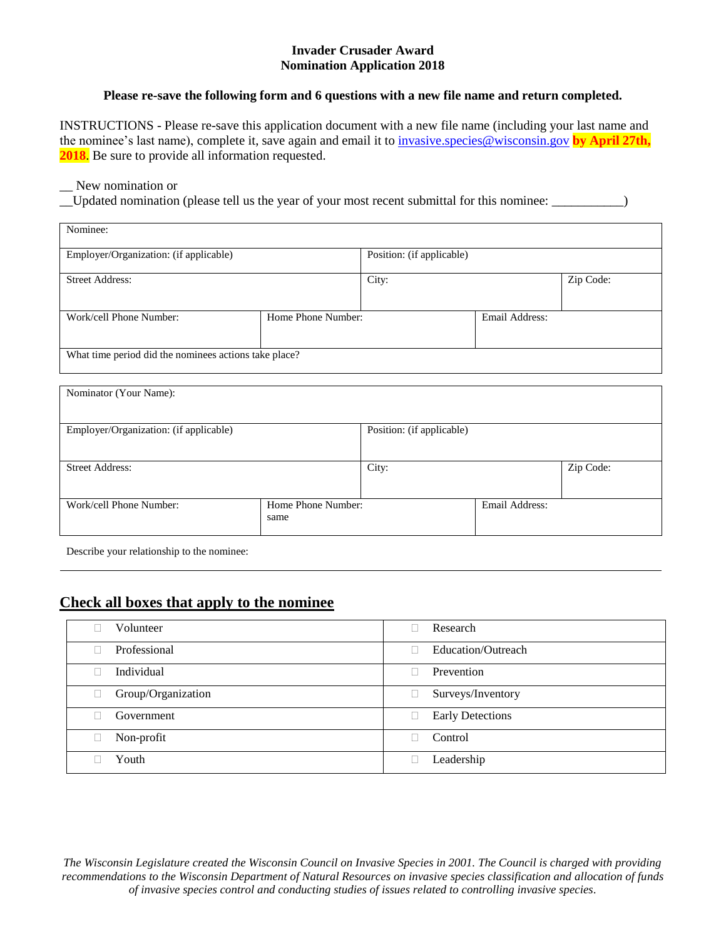#### **Invader Crusader Award Nomination Application 2018**

#### **Please re-save the following form and 6 questions with a new file name and return completed.**

INSTRUCTIONS - Please re-save this application document with a new file name (including your last name and the nominee's last name), complete it, save again and email it t[o invasive.species@wisconsin.gov](mailto:invasive.species@wisconsin.gov) **by April 27th, 2018.** Be sure to provide all information requested.

#### \_\_ New nomination or

\_\_Updated nomination (please tell us the year of your most recent submittal for this nominee: \_\_\_\_\_\_\_\_\_\_\_)

| Nominee:                                              |                    |                           |                |           |  |
|-------------------------------------------------------|--------------------|---------------------------|----------------|-----------|--|
| Employer/Organization: (if applicable)                |                    | Position: (if applicable) |                |           |  |
| <b>Street Address:</b>                                |                    | City:                     |                | Zip Code: |  |
| Work/cell Phone Number:                               | Home Phone Number: |                           | Email Address: |           |  |
| What time period did the nominees actions take place? |                    |                           |                |           |  |

| Nominator (Your Name):                 |                            |                           |                |           |  |  |
|----------------------------------------|----------------------------|---------------------------|----------------|-----------|--|--|
| Employer/Organization: (if applicable) |                            | Position: (if applicable) |                |           |  |  |
| <b>Street Address:</b>                 |                            | City:                     |                | Zip Code: |  |  |
| Work/cell Phone Number:                | Home Phone Number:<br>same |                           | Email Address: |           |  |  |

Describe your relationship to the nominee:

# **Check all boxes that apply to the nominee**

| Volunteer          | Research                |
|--------------------|-------------------------|
| Professional       | Education/Outreach      |
| Individual         | Prevention              |
| Group/Organization | Surveys/Inventory       |
| Government         | <b>Early Detections</b> |
| Non-profit         | Control                 |
| Youth              | Leadership              |

*The Wisconsin Legislature created the Wisconsin Council on Invasive Species in 2001. The Council is charged with providing recommendations to the Wisconsin Department of Natural Resources on invasive species classification and allocation of funds of invasive species control and conducting studies of issues related to controlling invasive species.*